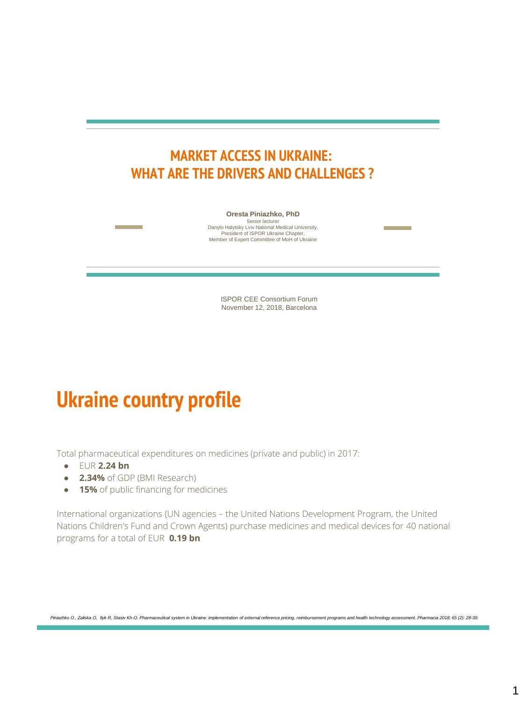#### **MARKET ACCESS IN UKRAINE: WHAT ARE THE DRIVERS AND CHALLENGES ?**

**Oresta Piniazhko, PhD** 

Senior lecturer Danylo Halytsky Lviv National Medical University, President of ISPOR Ukraine Chapter, Member of Expert Committee of MoH of Ukraine

> ISPOR CEE Consortium Forum November 12, 2018, Barcelona

## **Ukraine country profile**

Total pharmaceutical expenditures on medicines (private and public) in 2017:

- EUR **2.24 bn**
- **2.34%** of GDP (BMI Research)
- **15%** of public financing for medicines

International organizations (UN agencies – the United Nations Development Program, the United Nations Children's Fund and Crown Agents) purchase medicines and medical devices for 40 national programs for a total of EUR **0.19 bn**

*Piniazhko O., Zaliska O, Ilyk R, Stasiv Kh-O. Pharmaceutical system in Ukraine: implementation of external reference pricing, reimbursement programs and health technology assessment. Pharmacia 2018; 65 (2): 28-39.*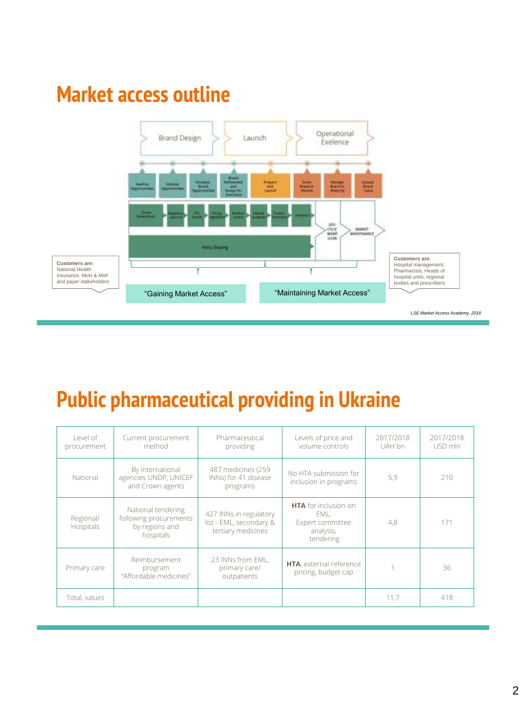## **Market access outline**



#### **Public pharmaceutical providing in Ukraine**

| Level of<br>procurement | Current procurement<br>method                                               | Pharmaceutical<br>providing                                             | Levels of price and<br>volume controls                                     | 2017/2018<br>UAH bn | 2017/2018<br>USD mln |
|-------------------------|-----------------------------------------------------------------------------|-------------------------------------------------------------------------|----------------------------------------------------------------------------|---------------------|----------------------|
| National                | By International<br>agencies UNDP, UNICEF<br>and Crown agents               | 487 medicines (259<br>INNs) for 41 disease<br>programs                  | No HTA submission for<br>inclusion in programs                             | 5,9                 | 210                  |
| Regional/<br>Hospitals  | National tendering<br>following procurements<br>by regions and<br>hospitals | 427 INNs in regulatory<br>list - EML, secondary &<br>tertiary medicines | HTA for inclusion on<br>EML.<br>Expert committee<br>analysis,<br>tendering | 4,8                 | 171                  |
| Primary care            | Reimbursement<br>program<br>"Affordable medicines"                          | 23 INNs from EML.<br>primary care/<br>outpatients                       | HTA, external reference<br>pricing, budget cap                             |                     | 36                   |
| Total, values           |                                                                             |                                                                         |                                                                            | 11,7                | 418                  |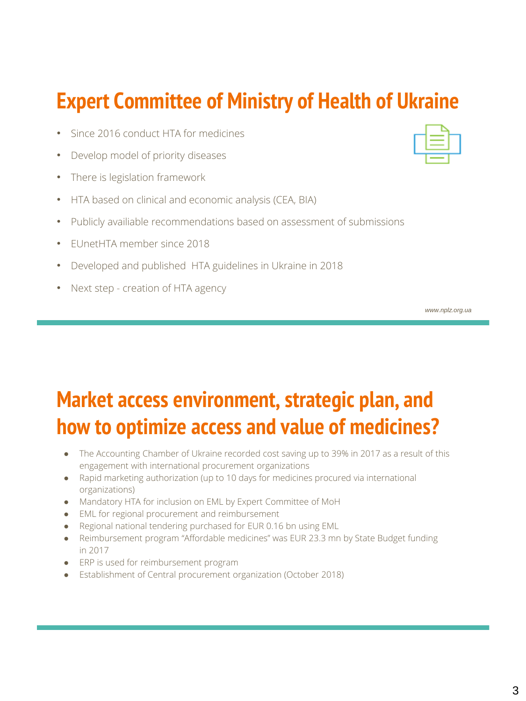### **Expert Committee of Ministry of Health of Ukraine**

- Since 2016 conduct HTA for medicines
- Develop model of priority diseases
- There is legislation framework
- HTA based on clinical and economic analysis (CEA, BIA)
- Publicly availiable recommendations based on assessment of submissions
- EUnetHTA member since 2018
- Developed and published HTA guidelines in Ukraine in 2018
- Next step creation of HTA agency

*www.nplz.org.ua*

# **Market access environment, strategic plan, and how to optimize access and value of medicines?**

- The Accounting Chamber of Ukraine recorded cost saving up to 39% in 2017 as a result of this engagement with international procurement organizations
- Rapid marketing authorization (up to 10 days for medicines procured via international organizations)
- Mandatory HTA for inclusion on EML by Expert Committee of MoH
- EML for regional procurement and reimbursement
- Regional national tendering purchased for EUR 0.16 bn using EML
- Reimbursement program "Affordable medicines" was EUR 23.3 mn by State Budget funding in 2017
- ERP is used for reimbursement program
- Establishment of Central procurement organization (October 2018)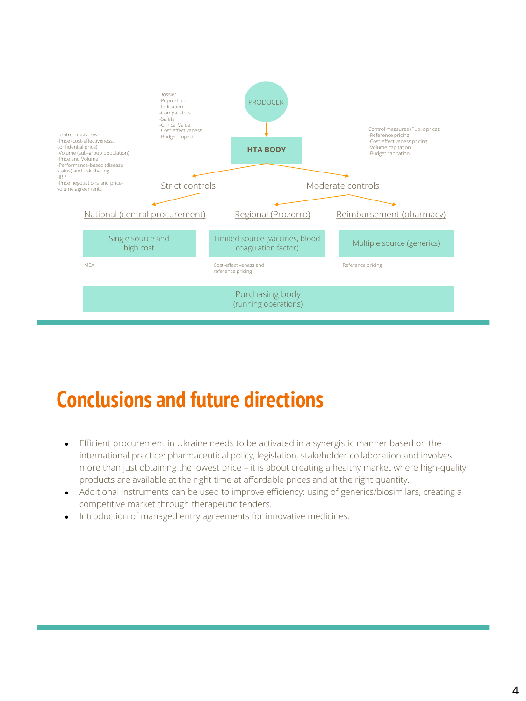

## **Conclusions and future directions**

- Efficient procurement in Ukraine needs to be activated in a synergistic manner based on the international practice: pharmaceutical policy, legislation, stakeholder collaboration and involves more than just obtaining the lowest price – it is about creating a healthy market where high-quality products are available at the right time at affordable prices and at the right quantity.
- Additional instruments can be used to improve efficiency: using of generics/biosimilars, creating a competitive market through therapeutic tenders.
- Introduction of managed entry agreements for innovative medicines.